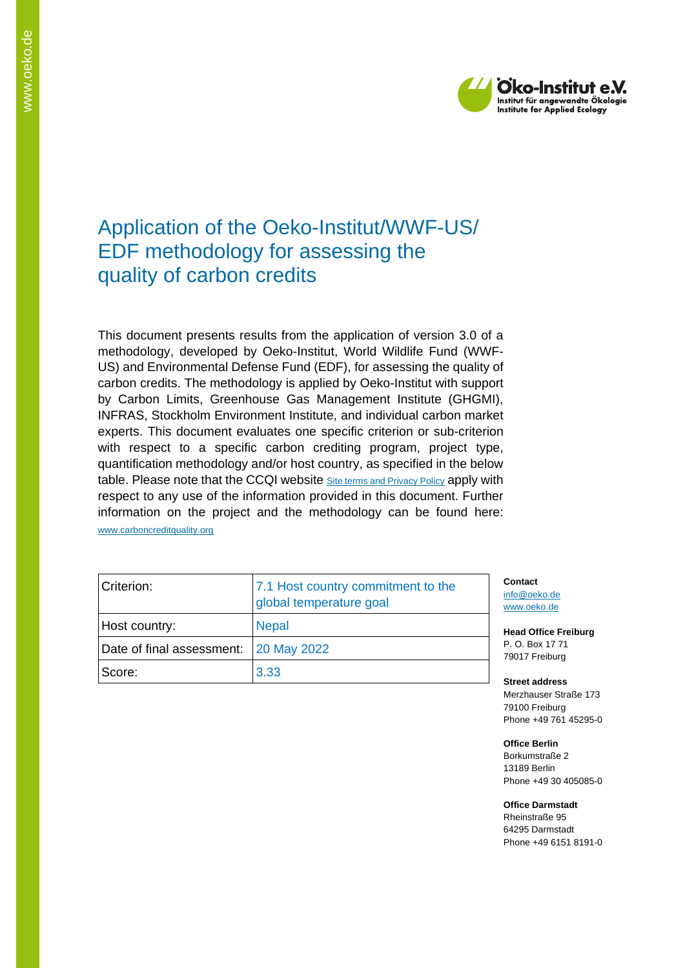

# Application of the Oeko-Institut/WWF-US/ EDF methodology for assessing the quality of carbon credits

This document presents results from the application of version 3.0 of a methodology, developed by Oeko-Institut, World Wildlife Fund (WWF-US) and Environmental Defense Fund (EDF), for assessing the quality of carbon credits. The methodology is applied by Oeko-Institut with support by Carbon Limits, Greenhouse Gas Management Institute (GHGMI), INFRAS, Stockholm Environment Institute, and individual carbon market experts. This document evaluates one specific criterion or sub-criterion with respect to a specific carbon crediting program, project type, quantification methodology and/or host country, as specified in the below table. Please note that the CCQI website [Site terms and Privacy Policy](https://carboncreditquality.org/terms.html) apply with respect to any use of the information provided in this document. Further information on the project and the methodology can be found here: [www.carboncreditquality.org](http://www.carboncreditquality.org/)

| Criterion:                            | 7.1 Host country commitment to the<br>global temperature goal |
|---------------------------------------|---------------------------------------------------------------|
| Host country:                         | <b>Nepal</b>                                                  |
| Date of final assessment: 20 May 2022 |                                                               |
| Score:                                | 3.33                                                          |

**Contact** [info@oeko.de](mailto:info@oeko.de) [www.oeko.de](http://www.oeko.de/)

**Head Office Freiburg** P. O. Box 17 71 79017 Freiburg

**Street address** Merzhauser Straße 173 79100 Freiburg Phone +49 761 45295-0

**Office Berlin** Borkumstraße 2 13189 Berlin Phone +49 30 405085-0

**Office Darmstadt** Rheinstraße 95 64295 Darmstadt

Phone +49 6151 8191-0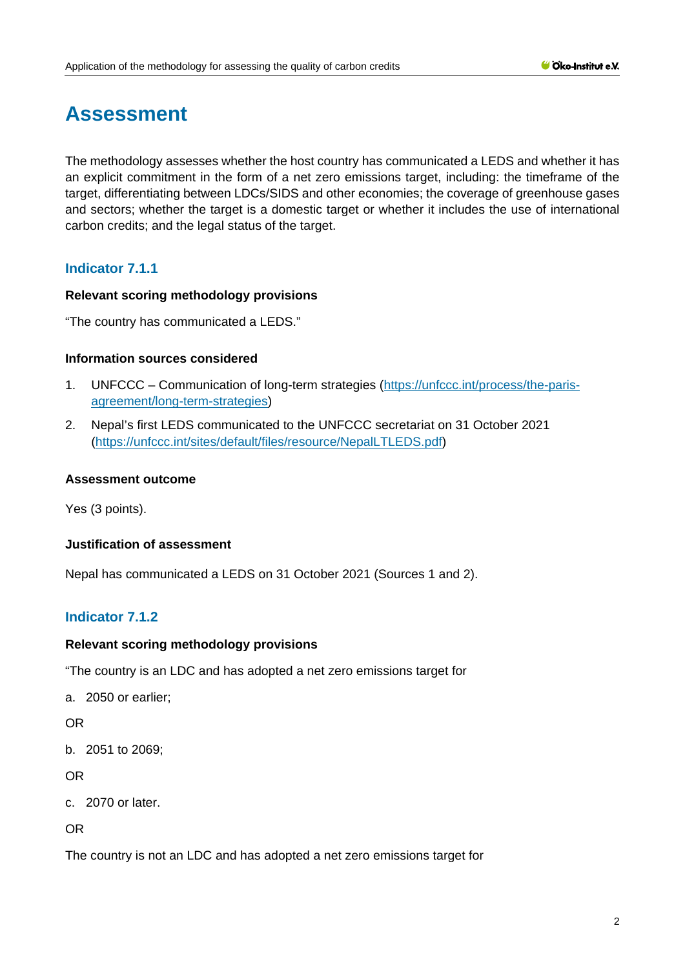# **Assessment**

The methodology assesses whether the host country has communicated a LEDS and whether it has an explicit commitment in the form of a net zero emissions target, including: the timeframe of the target, differentiating between LDCs/SIDS and other economies; the coverage of greenhouse gases and sectors; whether the target is a domestic target or whether it includes the use of international carbon credits; and the legal status of the target.

## **Indicator 7.1.1**

#### **Relevant scoring methodology provisions**

"The country has communicated a LEDS."

#### **Information sources considered**

- 1. UNFCCC Communication of long-term strategies [\(https://unfccc.int/process/the-paris](https://unfccc.int/process/the-paris-agreement/long-term-strategies)[agreement/long-term-strategies\)](https://unfccc.int/process/the-paris-agreement/long-term-strategies)
- 2. Nepal's first LEDS communicated to the UNFCCC secretariat on 31 October 2021 [\(https://unfccc.int/sites/default/files/resource/NepalLTLEDS.pdf\)](https://unfccc.int/sites/default/files/resource/NepalLTLEDS.pdf)

#### **Assessment outcome**

Yes (3 points).

#### **Justification of assessment**

Nepal has communicated a LEDS on 31 October 2021 (Sources 1 and 2).

## **Indicator 7.1.2**

#### **Relevant scoring methodology provisions**

"The country is an LDC and has adopted a net zero emissions target for

a. 2050 or earlier;

OR

b. 2051 to 2069;

OR

c. 2070 or later.

OR

The country is not an LDC and has adopted a net zero emissions target for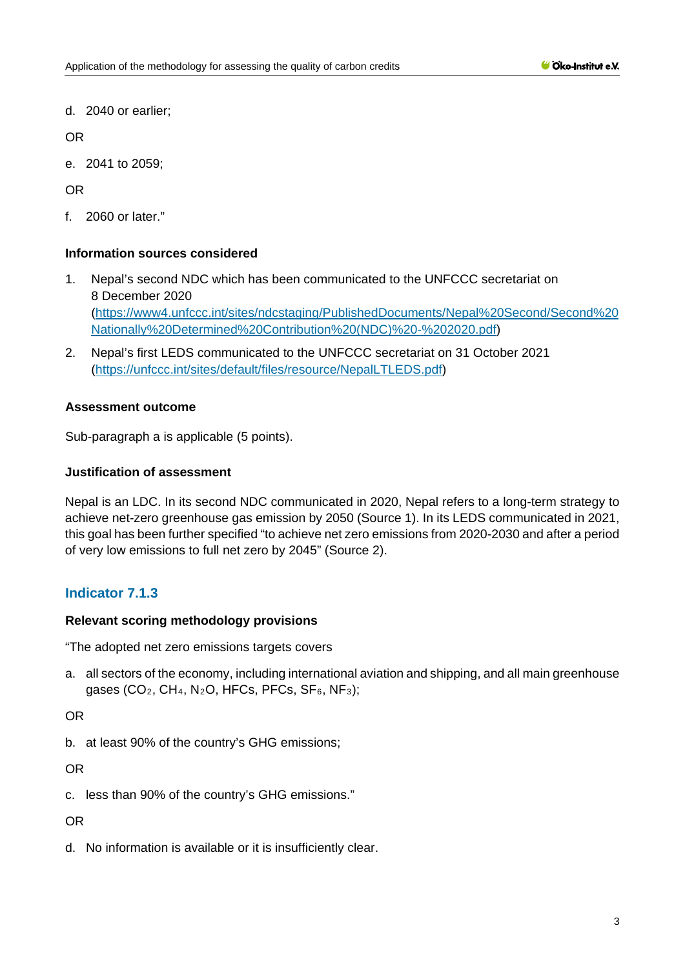d. 2040 or earlier;

OR

e. 2041 to 2059;

OR

f. 2060 or later."

### **Information sources considered**

- 1. Nepal's second NDC which has been communicated to the UNFCCC secretariat on 8 December 2020 [\(https://www4.unfccc.int/sites/ndcstaging/PublishedDocuments/Nepal%20Second/Second%20](https://www4.unfccc.int/sites/ndcstaging/PublishedDocuments/Nepal%20Second/Second%20Nationally%20Determined%20Contribution%20(NDC)%20-%202020.pdf) [Nationally%20Determined%20Contribution%20\(NDC\)%20-%202020.pdf\)](https://www4.unfccc.int/sites/ndcstaging/PublishedDocuments/Nepal%20Second/Second%20Nationally%20Determined%20Contribution%20(NDC)%20-%202020.pdf)
- 2. Nepal's first LEDS communicated to the UNFCCC secretariat on 31 October 2021 [\(https://unfccc.int/sites/default/files/resource/NepalLTLEDS.pdf\)](https://unfccc.int/sites/default/files/resource/NepalLTLEDS.pdf)

### **Assessment outcome**

Sub-paragraph a is applicable (5 points).

#### **Justification of assessment**

Nepal is an LDC. In its second NDC communicated in 2020, Nepal refers to a long-term strategy to achieve net-zero greenhouse gas emission by 2050 (Source 1). In its LEDS communicated in 2021, this goal has been further specified "to achieve net zero emissions from 2020-2030 and after a period of very low emissions to full net zero by 2045" (Source 2).

## **Indicator 7.1.3**

#### **Relevant scoring methodology provisions**

"The adopted net zero emissions targets covers

a. all sectors of the economy, including international aviation and shipping, and all main greenhouse gases (CO<sub>2</sub>, CH<sub>4</sub>, N<sub>2</sub>O, HFCs, PFCs, SF<sub>6</sub>, NF<sub>3</sub>);

OR

b. at least 90% of the country's GHG emissions;

OR

c. less than 90% of the country's GHG emissions."

OR

d. No information is available or it is insufficiently clear.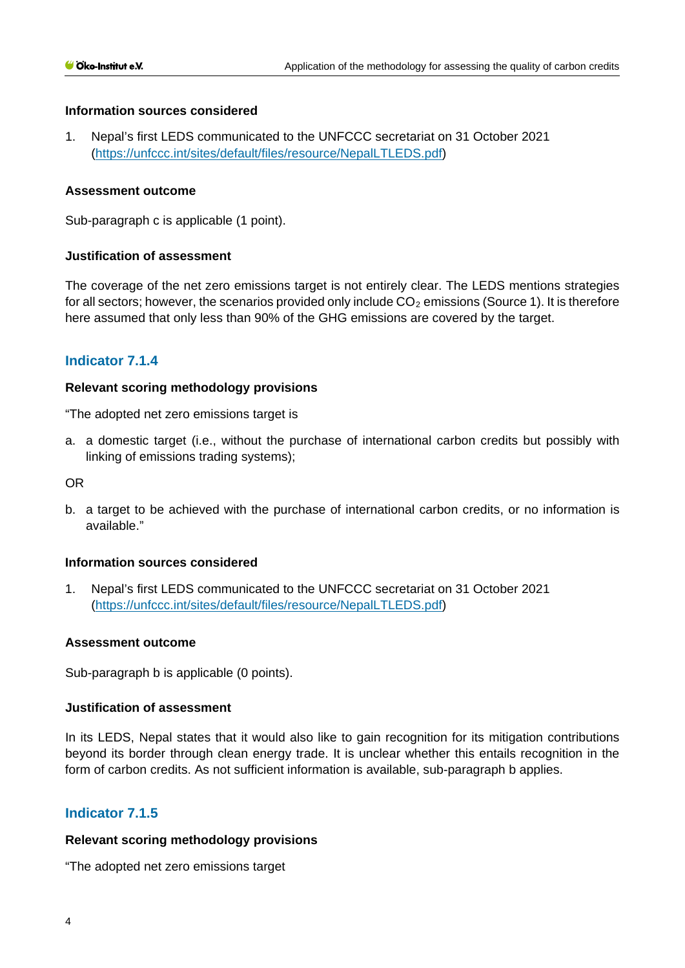#### **Information sources considered**

1. Nepal's first LEDS communicated to the UNFCCC secretariat on 31 October 2021 [\(https://unfccc.int/sites/default/files/resource/NepalLTLEDS.pdf\)](https://unfccc.int/sites/default/files/resource/NepalLTLEDS.pdf)

#### **Assessment outcome**

Sub-paragraph c is applicable (1 point).

#### **Justification of assessment**

The coverage of the net zero emissions target is not entirely clear. The LEDS mentions strategies for all sectors; however, the scenarios provided only include  $CO<sub>2</sub>$  emissions (Source 1). It is therefore here assumed that only less than 90% of the GHG emissions are covered by the target.

## **Indicator 7.1.4**

#### **Relevant scoring methodology provisions**

"The adopted net zero emissions target is

a. a domestic target (i.e., without the purchase of international carbon credits but possibly with linking of emissions trading systems);

OR

b. a target to be achieved with the purchase of international carbon credits, or no information is available."

#### **Information sources considered**

1. Nepal's first LEDS communicated to the UNFCCC secretariat on 31 October 2021 [\(https://unfccc.int/sites/default/files/resource/NepalLTLEDS.pdf\)](https://unfccc.int/sites/default/files/resource/NepalLTLEDS.pdf)

#### **Assessment outcome**

Sub-paragraph b is applicable (0 points).

#### **Justification of assessment**

In its LEDS, Nepal states that it would also like to gain recognition for its mitigation contributions beyond its border through clean energy trade. It is unclear whether this entails recognition in the form of carbon credits. As not sufficient information is available, sub-paragraph b applies.

#### **Indicator 7.1.5**

#### **Relevant scoring methodology provisions**

"The adopted net zero emissions target